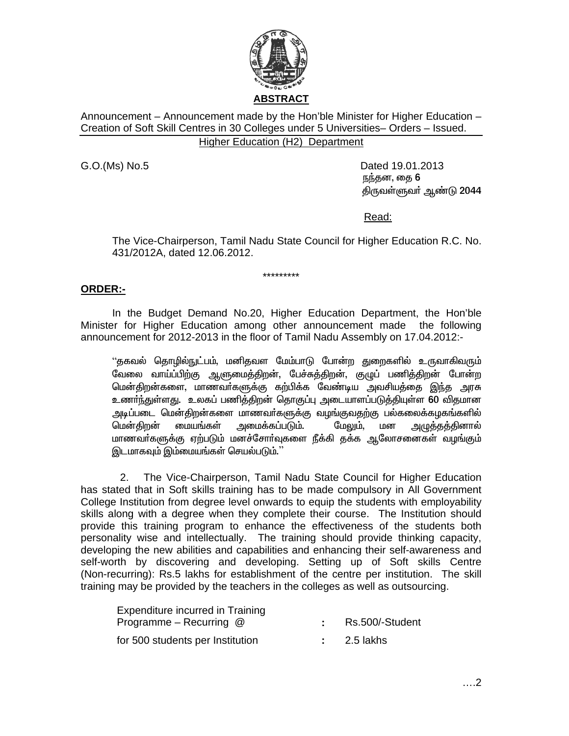

Announcement – Announcement made by the Hon'ble Minister for Higher Education – Creation of Soft Skill Centres in 30 Colleges under 5 Universities– Orders – Issued. Higher Education (H2) Department

G.O.(Ms) No.5 Dated 19.01.2013 நந்தன, தை 6 <u>கிருவள்ளுவர் ஆண்டு 2044</u>

Read:

The Vice-Chairperson, Tamil Nadu State Council for Higher Education R.C. No. 431/2012A, dated 12.06.2012.

# **ORDER:-**

 In the Budget Demand No.20, Higher Education Department, the Hon'ble Minister for Higher Education among other announcement made the following announcement for 2012-2013 in the floor of Tamil Nadu Assembly on 17.04.2012:-

\*\*\*\*\*\*\*\*\*

"தகவல் தொழில்நுட்பம், மனிதவள மேம்பாடு போன்ற துறைகளில் உருவாகிவரும் ு.<br>வேலை வாய்ப்பிற்கு ஆளுமைத்திறன், பேச்சுத்திறன், குழுப் பணித்திறன் போன்ற மென்திறன்களை, மாணவர்களுக்கு கற்பிக்க வேண்டிய அவசியத்தை இந்த அரசு உணர்ந்துள்ளது. உலகப் பணித்திறன் தொகுப்பு அடையாளப்படுத்தியுள்ள 60 விதமான அடிப்படை மென்திறன்களை மாணவர்களுக்கு வழங்குவதற்கு பல்கலைக்கழகங்களில் மென்திறன் மையங்கள் அமைக்கப்படும். மேலும், மன அழுத்தத்தினால் மாணவா்களுக்கு ஏற்படும் மனச்சோா்வுகளை நீக்கி தக்க ஆலோசனைகள் வழங்கும் இடமாகவும் இம்மையங்கள் செயல்படும்.''

 2. The Vice-Chairperson, Tamil Nadu State Council for Higher Education has stated that in Soft skills training has to be made compulsory in All Government College Institution from degree level onwards to equip the students with employability skills along with a degree when they complete their course. The Institution should provide this training program to enhance the effectiveness of the students both personality wise and intellectually. The training should provide thinking capacity, developing the new abilities and capabilities and enhancing their self-awareness and self-worth by discovering and developing. Setting up of Soft skills Centre (Non-recurring): Rs.5 lakhs for establishment of the centre per institution. The skill training may be provided by the teachers in the colleges as well as outsourcing.

| Expenditure incurred in Training |                 |
|----------------------------------|-----------------|
| Programme – Recurring @          | Rs.500/-Student |
| for 500 students per Institution | 2.5 lakhs       |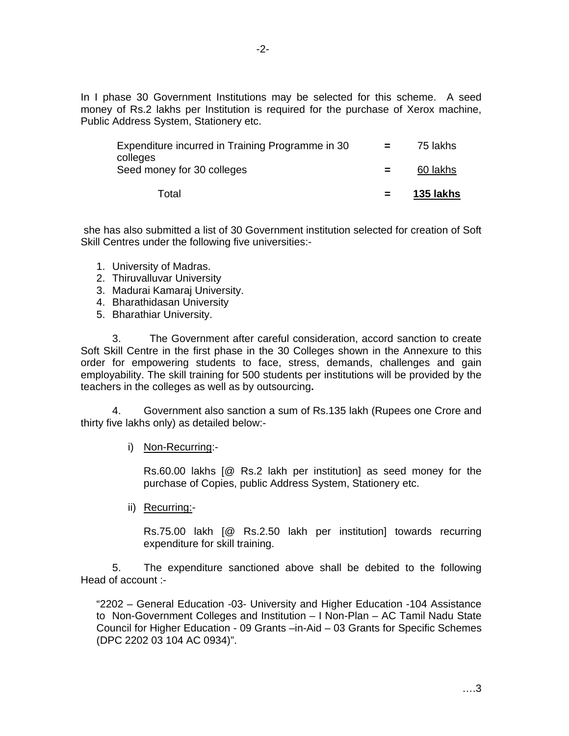In I phase 30 Government Institutions may be selected for this scheme. A seed money of Rs.2 lakhs per Institution is required for the purchase of Xerox machine, Public Address System, Stationery etc.

| Total                                                        |            | 135 lakhs |
|--------------------------------------------------------------|------------|-----------|
| Seed money for 30 colleges                                   | $=$        | 60 lakhs  |
| Expenditure incurred in Training Programme in 30<br>colleges | a material | 75 lakhs  |

 she has also submitted a list of 30 Government institution selected for creation of Soft Skill Centres under the following five universities:-

- 1. University of Madras.
- 2. Thiruvalluvar University
- 3. Madurai Kamaraj University.
- 4. Bharathidasan University
- 5. Bharathiar University.

3. The Government after careful consideration, accord sanction to create Soft Skill Centre in the first phase in the 30 Colleges shown in the Annexure to this order for empowering students to face, stress, demands, challenges and gain employability. The skill training for 500 students per institutions will be provided by the teachers in the colleges as well as by outsourcing**.** 

4. Government also sanction a sum of Rs.135 lakh (Rupees one Crore and thirty five lakhs only) as detailed below:-

i) Non-Recurring:-

Rs.60.00 lakhs [@ Rs.2 lakh per institution] as seed money for the purchase of Copies, public Address System, Stationery etc.

ii) Recurring:-

Rs.75.00 lakh [@ Rs.2.50 lakh per institution] towards recurring expenditure for skill training.

5. The expenditure sanctioned above shall be debited to the following Head of account :-

"2202 – General Education -03- University and Higher Education -104 Assistance to Non-Government Colleges and Institution – I Non-Plan – AC Tamil Nadu State Council for Higher Education - 09 Grants –in-Aid – 03 Grants for Specific Schemes (DPC 2202 03 104 AC 0934)".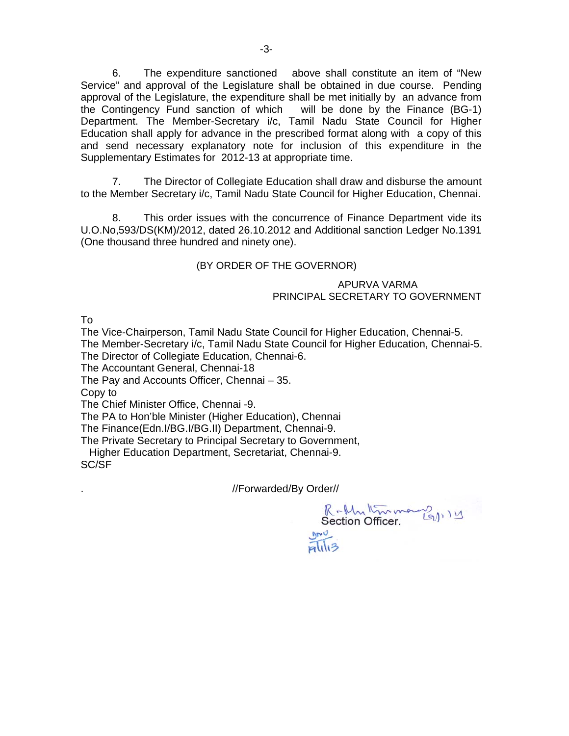6. The expenditure sanctioned above shall constitute an item of "New Service" and approval of the Legislature shall be obtained in due course. Pending approval of the Legislature, the expenditure shall be met initially by an advance from the Contingency Fund sanction of which will be done by the Finance (BG-1) Department. The Member-Secretary i/c, Tamil Nadu State Council for Higher Education shall apply for advance in the prescribed format along with a copy of this and send necessary explanatory note for inclusion of this expenditure in the Supplementary Estimates for 2012-13 at appropriate time.

 7. The Director of Collegiate Education shall draw and disburse the amount to the Member Secretary i/c, Tamil Nadu State Council for Higher Education, Chennai.

8. This order issues with the concurrence of Finance Department vide its U.O.No,593/DS(KM)/2012, dated 26.10.2012 and Additional sanction Ledger No.1391 (One thousand three hundred and ninety one).

### (BY ORDER OF THE GOVERNOR)

#### APURVA VARMA PRINCIPAL SECRETARY TO GOVERNMENT

To

The Vice-Chairperson, Tamil Nadu State Council for Higher Education, Chennai-5. The Member-Secretary i/c, Tamil Nadu State Council for Higher Education, Chennai-5. The Director of Collegiate Education, Chennai-6.

The Accountant General, Chennai-18

The Pay and Accounts Officer, Chennai – 35.

Copy to

The Chief Minister Office, Chennai -9.

The PA to Hon'ble Minister (Higher Education), Chennai

The Finance(Edn.I/BG.I/BG.II) Department, Chennai-9.

The Private Secretary to Principal Secretary to Government,

 Higher Education Department, Secretariat, Chennai-9. SC/SF

. //Forwarded/By Order//

 $\overline{H}$ ll<sub>13</sub>

R-Multimmerez<br>Section Officer.  $mv^{\mathcal{J}}$